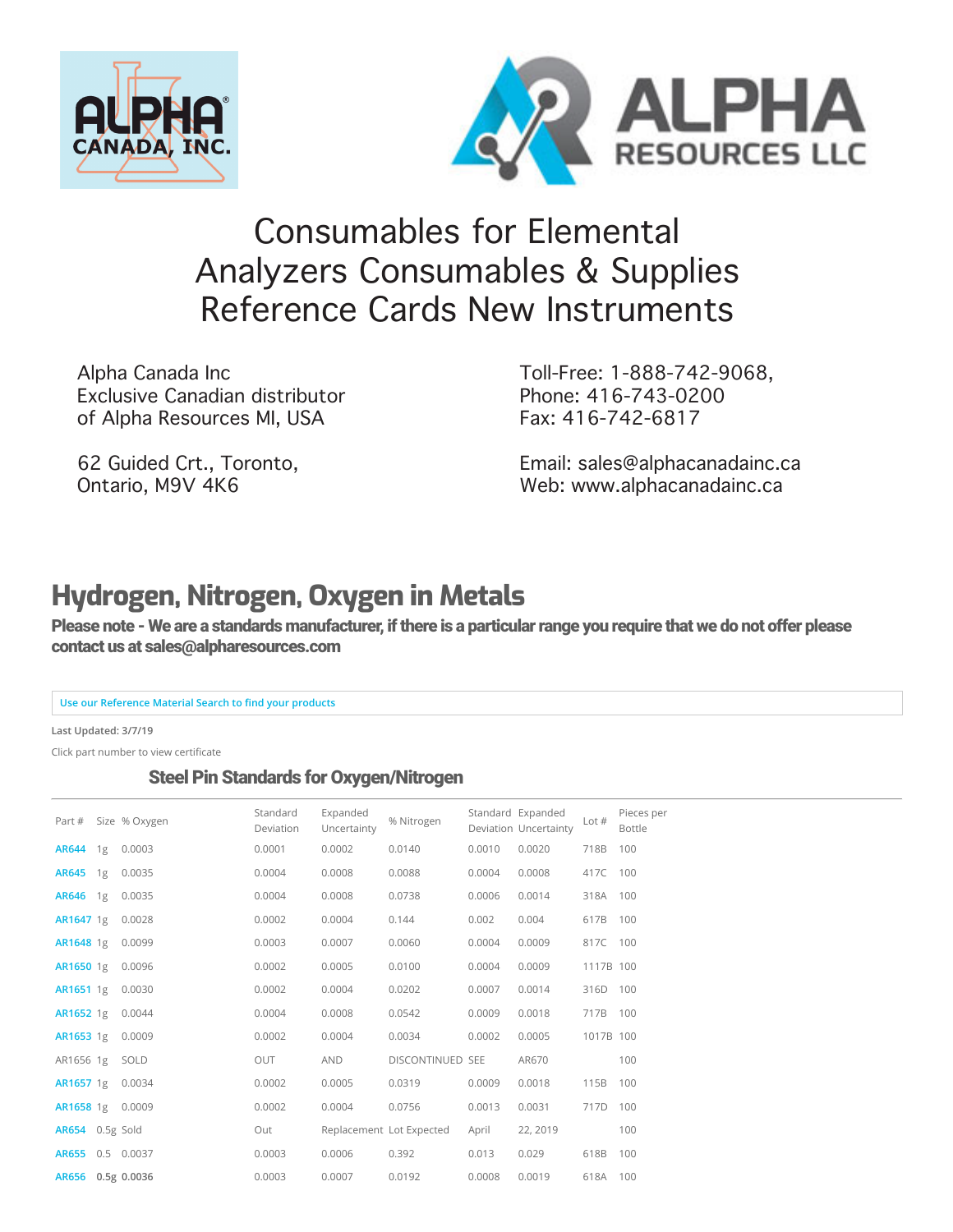



# [Co](https://www.alpharesources.com/eltra_chnos_analyzers.php)[nsumables](https://www.alpharesources.com/gerhardtvelp.php) [for](https://www.alpharesources.com/horiba.php) [Ele](https://www.alpharesources.com/leco-quick-cards.php)[men](https://www.alpharesources.com/literature.php)[tal](https://www.alpharesources.com/current-list-of-standards.php)  [Ana](https://www.alpharesources.com/elementar.php)lyzers Consumables & Supplies Reference Cards New Instruments

Alpha Canada Inc Exclusive Canadian distributor of Alpha Resources MI, USA

62 Guided Crt., Toronto, Ontario, M9V 4K6

Toll-Free: 1-888-742-9068, Phone: 416-743-0200 Fax: 416-742-6817

[Email: sales@alphacanadainc.ca](https://www.alpharesources.com/advanced_search.php) [Web: www.alphacanadainc.ca](https://www.alpharesources.com/advanced_matrix_search.php)

## **Hydrogen, Nitrogen, Oxygen in Metals**

Please note - We are a standards manufacturer, if there is a particular range you require that we do not offer please contact us at sales@alpharesources.com

#### **Use our Reference Material Search to find your products**

**Last Updated: 3/7/19**

Click part number to view certificate

#### Steel Pin Standards for Oxygen/Nitrogen

| Part #            | Size % Oxygen | Standard<br>Deviation | Expanded<br>Uncertainty | % Nitrogen               |        | Standard Expanded<br>Deviation Uncertainty | Lot $#$   | Pieces per<br><b>Bottle</b> |
|-------------------|---------------|-----------------------|-------------------------|--------------------------|--------|--------------------------------------------|-----------|-----------------------------|
| AR644 1g          | 0.0003        | 0.0001                | 0.0002                  | 0.0140                   | 0.0010 | 0.0020                                     | 718B      | 100                         |
| AR645 1g          | 0.0035        | 0.0004                | 0.0008                  | 0.0088                   | 0.0004 | 0.0008                                     | 417C      | 100                         |
| AR646 1g          | 0.0035        | 0.0004                | 0.0008                  | 0.0738                   | 0.0006 | 0.0014                                     | 318A 100  |                             |
| AR1647 1g         | 0.0028        | 0.0002                | 0.0004                  | 0.144                    | 0.002  | 0.004                                      | 617B      | 100                         |
| AR1648 1g         | 0.0099        | 0.0003                | 0.0007                  | 0.0060                   | 0.0004 | 0.0009                                     | 817C      | 100                         |
| AR1650 1g         | 0.0096        | 0.0002                | 0.0005                  | 0.0100                   | 0.0004 | 0.0009                                     | 1117B 100 |                             |
| AR1651 1g         | 0.0030        | 0.0002                | 0.0004                  | 0.0202                   | 0.0007 | 0.0014                                     | 316D      | 100                         |
| AR1652 1g         | 0.0044        | 0.0004                | 0.0008                  | 0.0542                   | 0.0009 | 0.0018                                     | 717B 100  |                             |
| AR1653 1g         | 0.0009        | 0.0002                | 0.0004                  | 0.0034                   | 0.0002 | 0.0005                                     | 1017B 100 |                             |
| AR1656 1g         | SOLD          | <b>OUT</b>            | AND                     | DISCONTINUED SEE         |        | AR670                                      |           | 100                         |
| AR1657 1g         | 0.0034        | 0.0002                | 0.0005                  | 0.0319                   | 0.0009 | 0.0018                                     | 115B      | 100                         |
| AR1658 1g         | 0.0009        | 0.0002                | 0.0004                  | 0.0756                   | 0.0013 | 0.0031                                     | 717D      | 100                         |
| AR654 0.5g Sold   |               | Out                   |                         | Replacement Lot Expected | April  | 22, 2019                                   |           | 100                         |
| AR655 0.5 0.0037  |               | 0.0003                | 0.0006                  | 0.392                    | 0.013  | 0.029                                      | 618B      | 100                         |
| AR656 0.5g 0.0036 |               | 0.0003                | 0.0007                  | 0.0192                   | 0.0008 | 0.0019                                     | 618A 100  |                             |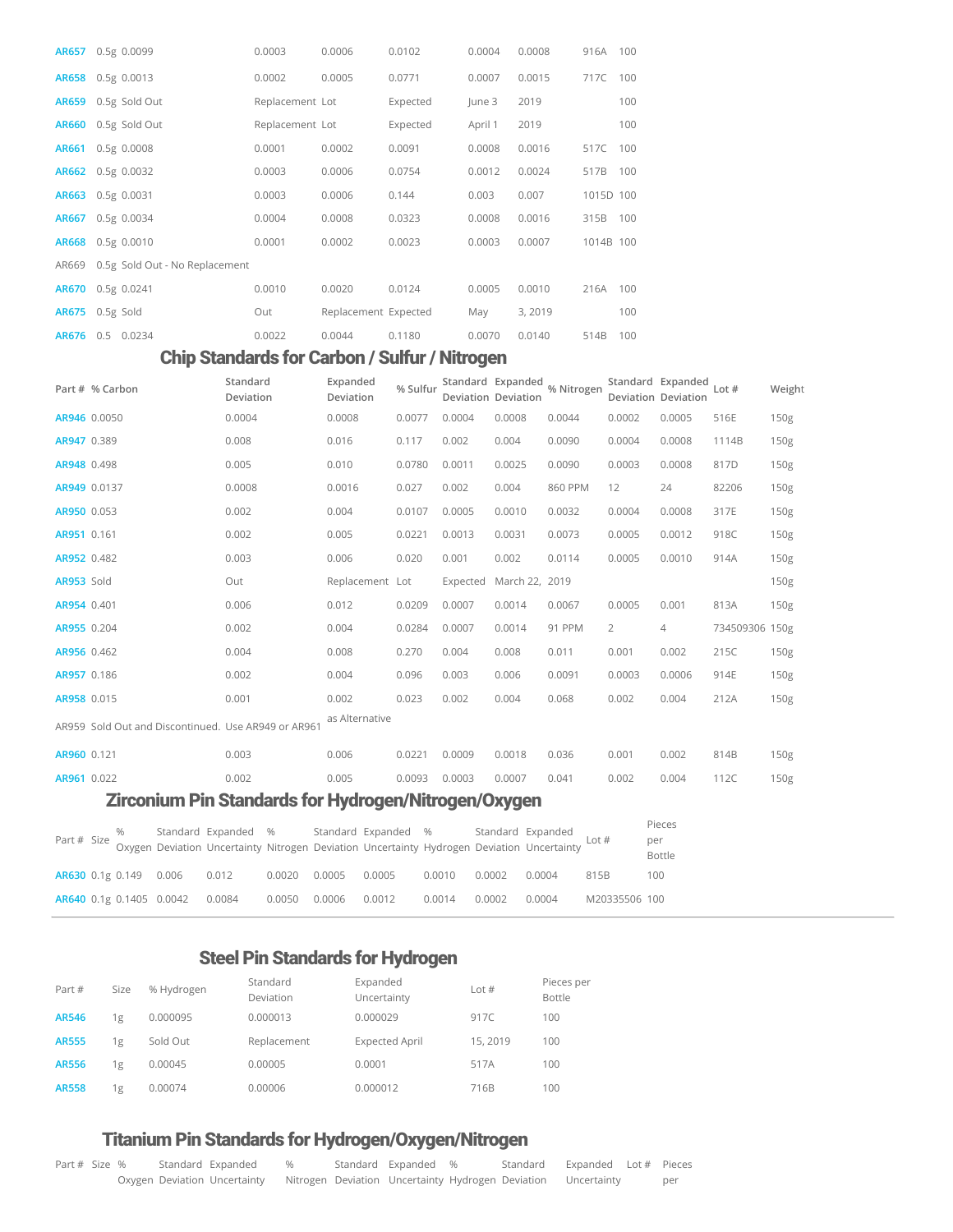| <b>AR657</b> | 0.5g 0.0099                    | 0.0003          | 0.0006               | 0.0102   | 0.0004  | 0.0008  | 916A      | 100 |
|--------------|--------------------------------|-----------------|----------------------|----------|---------|---------|-----------|-----|
|              | AR658 0.5g 0.0013              | 0.0002          | 0.0005               | 0.0771   | 0.0007  | 0.0015  | 717C      | 100 |
| <b>AR659</b> | 0.5g Sold Out                  | Replacement Lot |                      | Expected | June 3  | 2019    |           | 100 |
| <b>AR660</b> | 0.5g Sold Out                  | Replacement Lot |                      | Expected | April 1 | 2019    |           | 100 |
| <b>AR661</b> | $0.5g$ 0.0008                  | 0.0001          | 0.0002               | 0.0091   | 0.0008  | 0.0016  | 517C      | 100 |
| AR662        | 0.5g 0.0032                    | 0.0003          | 0.0006               | 0.0754   | 0.0012  | 0.0024  | 517B      | 100 |
| <b>AR663</b> | 0.5g 0.0031                    | 0.0003          | 0.0006               | 0.144    | 0.003   | 0.007   | 1015D 100 |     |
| <b>AR667</b> | 0.5g 0.0034                    | 0.0004          | 0.0008               | 0.0323   | 0.0008  | 0.0016  | 315B      | 100 |
| <b>AR668</b> | 0.5g 0.0010                    | 0.0001          | 0.0002               | 0.0023   | 0.0003  | 0.0007  | 1014B 100 |     |
| AR669        | 0.5g Sold Out - No Replacement |                 |                      |          |         |         |           |     |
| <b>AR670</b> | $0.5g$ $0.0241$                | 0.0010          | 0.0020               | 0.0124   | 0.0005  | 0.0010  | 216A      | 100 |
| <b>AR675</b> | 0.5g Sold                      | Out             | Replacement Expected |          | May     | 3, 2019 |           | 100 |
| AR676        | 0.0234<br>0.5                  | 0.0022          | 0.0044               | 0.1180   | 0.0070  | 0.0140  | 514B      | 100 |

#### Chip Standards for Carbon / Sulfur / Nitrogen

| Part # % Carbon                                             | Standard<br>Deviation | Expanded<br>Deviation | % Sulfur |          | Standard Expanded<br>Deviation Deviation | % Nitrogen |        | Standard Expanded<br>Deviation Deviation | Lot $#$        | Weight           |
|-------------------------------------------------------------|-----------------------|-----------------------|----------|----------|------------------------------------------|------------|--------|------------------------------------------|----------------|------------------|
| AR946 0.0050                                                | 0.0004                | 0.0008                | 0.0077   | 0.0004   | 0.0008                                   | 0.0044     | 0.0002 | 0.0005                                   | 516E           | 150g             |
| AR947 0.389                                                 | 0.008                 | 0.016                 | 0.117    | 0.002    | 0.004                                    | 0.0090     | 0.0004 | 0.0008                                   | 1114B          | 150g             |
| AR948 0.498                                                 | 0.005                 | 0.010                 | 0.0780   | 0.0011   | 0.0025                                   | 0.0090     | 0.0003 | 0.0008                                   | 817D           | 150 <sub>g</sub> |
| AR949 0.0137                                                | 0.0008                | 0.0016                | 0.027    | 0.002    | 0.004                                    | 860 PPM    | 12     | 24                                       | 82206          | 150g             |
| AR950 0.053                                                 | 0.002                 | 0.004                 | 0.0107   | 0.0005   | 0.0010                                   | 0.0032     | 0.0004 | 0.0008                                   | 317E           | 150g             |
| AR951 0.161                                                 | 0.002                 | 0.005                 | 0.0221   | 0.0013   | 0.0031                                   | 0.0073     | 0.0005 | 0.0012                                   | 918C           | 150g             |
| AR952 0.482                                                 | 0.003                 | 0.006                 | 0.020    | 0.001    | 0.002                                    | 0.0114     | 0.0005 | 0.0010                                   | 914A           | 150g             |
| AR953 Sold                                                  | Out                   | Replacement Lot       |          | Expected | March 22, 2019                           |            |        |                                          |                | 150g             |
| AR954 0.401                                                 | 0.006                 | 0.012                 | 0.0209   | 0.0007   | 0.0014                                   | 0.0067     | 0.0005 | 0.001                                    | 813A           | 150 <sub>g</sub> |
| AR955 0.204                                                 | 0.002                 | 0.004                 | 0.0284   | 0.0007   | 0.0014                                   | 91 PPM     | 2      | 4                                        | 734509306 150g |                  |
| AR956 0.462                                                 | 0.004                 | 0.008                 | 0.270    | 0.004    | 0.008                                    | 0.011      | 0.001  | 0.002                                    | 215C           | 150g             |
| AR957 0.186                                                 | 0.002                 | 0.004                 | 0.096    | 0.003    | 0.006                                    | 0.0091     | 0.0003 | 0.0006                                   | 914E           | 150g             |
| AR958 0.015                                                 | 0.001                 | 0.002                 | 0.023    | 0.002    | 0.004                                    | 0.068      | 0.002  | 0.004                                    | 212A           | 150g             |
| AR959 Sold Out and Discontinued. Use AR949 or AR961         |                       | as Alternative        |          |          |                                          |            |        |                                          |                |                  |
| AR960 0.121                                                 | 0.003                 | 0.006                 | 0.0221   | 0.0009   | 0.0018                                   | 0.036      | 0.001  | 0.002                                    | 814B           | 150g             |
| AR961 0.022                                                 | 0.002                 | 0.005                 | 0.0093   | 0.0003   | 0.0007                                   | 0.041      | 0.002  | 0.004                                    | 112C           | 150g             |
| <b>Zirconium Pin Standards for Hydrogen/Nitrogen/Oxygen</b> |                       |                       |          |          |                                          |            |        |                                          |                |                  |

|  |  |                                                             |  |  |        | % Standard Expanded % Standard Expanded % Standard Expanded % Standard Expanded Caspanded Lot # Part # Size Oxygen Deviation Uncertainty Nitrogen Deviation Uncertainty Nitrogen Deviation Uncertainty |                      | Pieces<br>per<br>Bottle |
|--|--|-------------------------------------------------------------|--|--|--------|--------------------------------------------------------------------------------------------------------------------------------------------------------------------------------------------------------|----------------------|-------------------------|
|  |  |                                                             |  |  |        | AR630 0.1g 0.149  0.006  0.012  0.0020  0.0005  0.0005  0.0010  0.0002  0.0004  815B                                                                                                                   |                      | 100                     |
|  |  | AR640 0.1g 0.1405 0.0042 0.0084 0.0050 0.0006 0.0012 0.0014 |  |  | 0.0002 |                                                                                                                                                                                                        | 0.0004 M20335506 100 |                         |

#### Steel Pin Standards for Hydrogen

| Part #       | Size | % Hydrogen | Standard<br>Deviation | Expanded<br>Uncertainty | Lot $#$  | Pieces per<br>Bottle |
|--------------|------|------------|-----------------------|-------------------------|----------|----------------------|
| <b>AR546</b> | 1g   | 0.000095   | 0.000013              | 0.000029                | 917C     | 100                  |
| <b>AR555</b> | 1g   | Sold Out   | Replacement           | <b>Expected April</b>   | 15, 2019 | 100                  |
| <b>AR556</b> | 1g   | 0.00045    | 0.00005               | 0.0001                  | 517A     | 100                  |
| <b>AR558</b> | 1g   | 0.00074    | 0.00006               | 0.000012                | 716B     | 100                  |

### Titanium Pin Standards for Hydrogen/Oxygen/Nitrogen

| Part # Size % |  | Standard Expanded %                                                                        |  | Standard Expanded % | Standard Expanded Lot # Pieces |  |     |
|---------------|--|--------------------------------------------------------------------------------------------|--|---------------------|--------------------------------|--|-----|
|               |  | Oxygen Deviation Uncertainty Mitrogen Deviation Uncertainty Hydrogen Deviation Uncertainty |  |                     |                                |  | per |